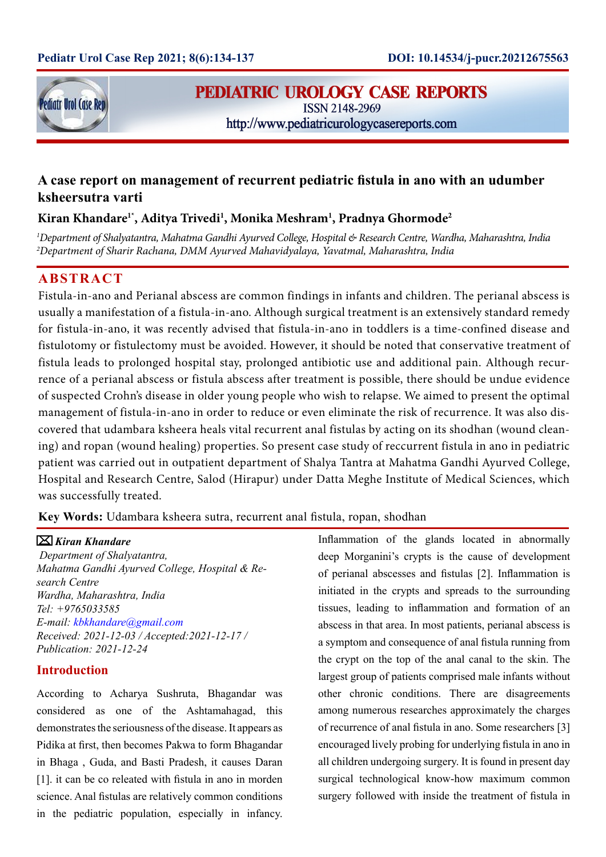

# **PEDIATRIC UROLOGY CASE REPORTS**

**ISSN 2148-2969** http://www.pediatricurologycasereports.com

## **A case report on management of recurrent pediatric fistula in ano with an udumber ksheersutra varti**

## **Kiran Khandare1\*, Aditya Trivedi1 , Monika Meshram1 , Pradnya Ghormode2**

*1 Department of Shalyatantra, Mahatma Gandhi Ayurved College, Hospital & Research Centre, Wardha, Maharashtra, India 2 Department of Sharir Rachana, DMM Ayurved Mahavidyalaya, Yavatmal, Maharashtra, India*

## **ABSTRACT**

Fistula-in-ano and Perianal abscess are common findings in infants and children. The perianal abscess is usually a manifestation of a fistula-in-ano. Although surgical treatment is an extensively standard remedy for fistula-in-ano, it was recently advised that fistula-in-ano in toddlers is a time-confined disease and fistulotomy or fistulectomy must be avoided. However, it should be noted that conservative treatment of fistula leads to prolonged hospital stay, prolonged antibiotic use and additional pain. Although recurrence of a perianal abscess or fistula abscess after treatment is possible, there should be undue evidence of suspected Crohn's disease in older young people who wish to relapse. We aimed to present the optimal management of fistula-in-ano in order to reduce or even eliminate the risk of recurrence. It was also discovered that udambara ksheera heals vital recurrent anal fistulas by acting on its shodhan (wound cleaning) and ropan (wound healing) properties. So present case study of reccurrent fistula in ano in pediatric patient was carried out in outpatient department of Shalya Tantra at Mahatma Gandhi Ayurved College, Hospital and Research Centre, Salod (Hirapur) under Datta Meghe Institute of Medical Sciences, which was successfully treated.

**Key Words:** Udambara ksheera sutra, recurrent anal fistula, ropan, shodhan

### *Kiran Khandare*

 *Department of Shalyatantra, Mahatma Gandhi Ayurved College, Hospital & Research Centre Wardha, Maharashtra, India Tel: +9765033585 E-mail: kbkhandare@gmail.com Received: 2021-12-03 / Accepted:2021-12-17 / Publication: 2021-12-24*

### **Introduction**

According to Acharya Sushruta, Bhagandar was considered as one of the Ashtamahagad, this demonstrates the seriousness of the disease. It appears as Pidika at first, then becomes Pakwa to form Bhagandar in Bhaga , Guda, and Basti Pradesh, it causes Daran [1]. it can be co releated with fistula in ano in morden science. Anal fistulas are relatively common conditions in the pediatric population, especially in infancy.

Inflammation of the glands located in abnormally deep Morganini's crypts is the cause of development of perianal abscesses and fistulas [2]. Inflammation is initiated in the crypts and spreads to the surrounding tissues, leading to inflammation and formation of an abscess in that area. In most patients, perianal abscess is a symptom and consequence of anal fistula running from the crypt on the top of the anal canal to the skin. The largest group of patients comprised male infants without other chronic conditions. There are disagreements among numerous researches approximately the charges of recurrence of anal fistula in ano. Some researchers [3] encouraged lively probing for underlying fistula in ano in all children undergoing surgery. It is found in present day surgical technological know-how maximum common surgery followed with inside the treatment of fistula in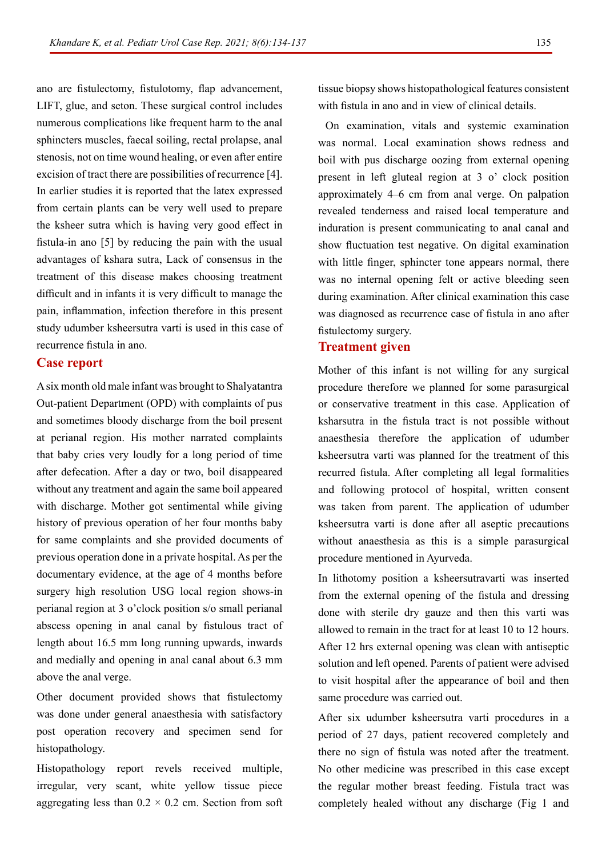ano are fistulectomy, fistulotomy, flap advancement, LIFT, glue, and seton. These surgical control includes numerous complications like frequent harm to the anal sphincters muscles, faecal soiling, rectal prolapse, anal stenosis, not on time wound healing, or even after entire excision of tract there are possibilities of recurrence [4]. In earlier studies it is reported that the latex expressed from certain plants can be very well used to prepare the ksheer sutra which is having very good effect in fistula-in ano [5] by reducing the pain with the usual advantages of kshara sutra, Lack of consensus in the treatment of this disease makes choosing treatment difficult and in infants it is very difficult to manage the pain, inflammation, infection therefore in this present study udumber ksheersutra varti is used in this case of recurrence fistula in ano.

### **Case report**

A six month old male infant was brought to Shalyatantra Out-patient Department (OPD) with complaints of pus and sometimes bloody discharge from the boil present at perianal region. His mother narrated complaints that baby cries very loudly for a long period of time after defecation. After a day or two, boil disappeared without any treatment and again the same boil appeared with discharge. Mother got sentimental while giving history of previous operation of her four months baby for same complaints and she provided documents of previous operation done in a private hospital. As per the documentary evidence, at the age of 4 months before surgery high resolution USG local region shows-in perianal region at 3 o'clock position s/o small perianal abscess opening in anal canal by fistulous tract of length about 16.5 mm long running upwards, inwards and medially and opening in anal canal about 6.3 mm above the anal verge.

Other document provided shows that fistulectomy was done under general anaesthesia with satisfactory post operation recovery and specimen send for histopathology.

Histopathology report revels received multiple, irregular, very scant, white yellow tissue piece aggregating less than  $0.2 \times 0.2$  cm. Section from soft tissue biopsy shows histopathological features consistent with fistula in ano and in view of clinical details.

 On examination, vitals and systemic examination was normal. Local examination shows redness and boil with pus discharge oozing from external opening present in left gluteal region at 3 o' clock position approximately 4–6 cm from anal verge. On palpation revealed tenderness and raised local temperature and induration is present communicating to anal canal and show fluctuation test negative. On digital examination with little finger, sphincter tone appears normal, there was no internal opening felt or active bleeding seen during examination. After clinical examination this case was diagnosed as recurrence case of fistula in ano after fistulectomy surgery.

#### **Treatment given**

Mother of this infant is not willing for any surgical procedure therefore we planned for some parasurgical or conservative treatment in this case. Application of ksharsutra in the fistula tract is not possible without anaesthesia therefore the application of udumber ksheersutra varti was planned for the treatment of this recurred fistula. After completing all legal formalities and following protocol of hospital, written consent was taken from parent. The application of udumber ksheersutra varti is done after all aseptic precautions without anaesthesia as this is a simple parasurgical procedure mentioned in Ayurveda.

In lithotomy position a ksheersutravarti was inserted from the external opening of the fistula and dressing done with sterile dry gauze and then this varti was allowed to remain in the tract for at least 10 to 12 hours. After 12 hrs external opening was clean with antiseptic solution and left opened. Parents of patient were advised to visit hospital after the appearance of boil and then same procedure was carried out.

After six udumber ksheersutra varti procedures in a period of 27 days, patient recovered completely and there no sign of fistula was noted after the treatment. No other medicine was prescribed in this case except the regular mother breast feeding. Fistula tract was completely healed without any discharge (Fig 1 and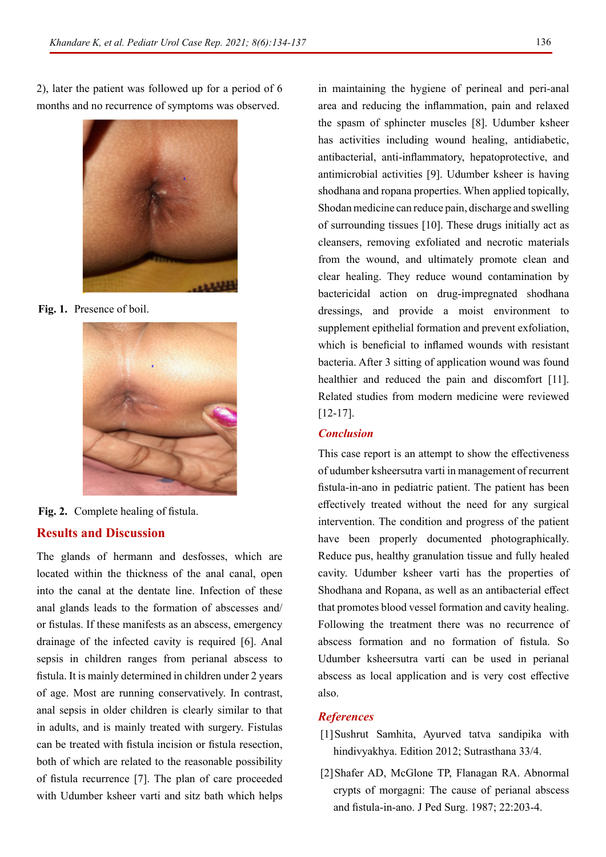2), later the patient was followed up for a period of 6 months and no recurrence of symptoms was observed.



**Fig. 1.** Presence of boil.



**Results and Discussion Fig. 2.** Complete healing of fistula.

The glands of hermann and desfosses, which are located within the thickness of the anal canal, open into the canal at the dentate line. Infection of these anal glands leads to the formation of abscesses and/ or fistulas. If these manifests as an abscess, emergency drainage of the infected cavity is required [6]. Anal sepsis in children ranges from perianal abscess to fistula. It is mainly determined in children under 2 years of age. Most are running conservatively. In contrast, anal sepsis in older children is clearly similar to that in adults, and is mainly treated with surgery. Fistulas can be treated with fistula incision or fistula resection, both of which are related to the reasonable possibility of fistula recurrence [7]. The plan of care proceeded with Udumber ksheer varti and sitz bath which helps

in maintaining the hygiene of perineal and peri-anal area and reducing the inflammation, pain and relaxed the spasm of sphincter muscles [8]. Udumber ksheer has activities including wound healing, antidiabetic, antibacterial, anti-inflammatory, hepatoprotective, and antimicrobial activities [9]. Udumber ksheer is having shodhana and ropana properties. When applied topically, Shodan medicine can reduce pain, discharge and swelling of surrounding tissues [10]. These drugs initially act as cleansers, removing exfoliated and necrotic materials from the wound, and ultimately promote clean and clear healing. They reduce wound contamination by bactericidal action on drug-impregnated shodhana dressings, and provide a moist environment to supplement epithelial formation and prevent exfoliation, which is beneficial to inflamed wounds with resistant bacteria. After 3 sitting of application wound was found healthier and reduced the pain and discomfort [11]. Related studies from modern medicine were reviewed [12-17].

### *Conclusion*

This case report is an attempt to show the effectiveness of udumber ksheersutra varti in management of recurrent fistula-in-ano in pediatric patient. The patient has been effectively treated without the need for any surgical intervention. The condition and progress of the patient have been properly documented photographically. Reduce pus, healthy granulation tissue and fully healed cavity. Udumber ksheer varti has the properties of Shodhana and Ropana, as well as an antibacterial effect that promotes blood vessel formation and cavity healing. Following the treatment there was no recurrence of abscess formation and no formation of fistula. So Udumber ksheersutra varti can be used in perianal abscess as local application and is very cost effective also.

### *References*

- [1]Sushrut Samhita, Ayurved tatva sandipika with hindivyakhya. Edition 2012; Sutrasthana 33/4.
- [2]Shafer AD, McGlone TP, Flanagan RA. [Abnormal](https://www.sciencedirect.com/science/article/abs/pii/S0022346887803275?via%3Dihub)  [crypts of morgagni: The cause of perianal abscess](https://www.sciencedirect.com/science/article/abs/pii/S0022346887803275?via%3Dihub)  [and fistula-in-ano.](https://www.sciencedirect.com/science/article/abs/pii/S0022346887803275?via%3Dihub) J Ped Surg. 1987; 22:203-4.